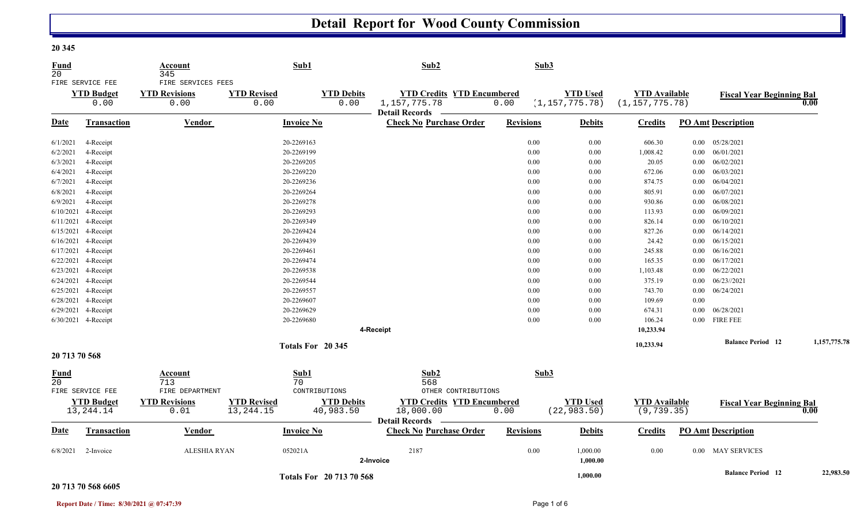## **Detail Report for Wood County Commission**

| <b>Fund</b><br>20              |                                               | Account<br>345                                     |                            | Sub1                      | Sub2                                                                     |                  | Sub3                                |                                          |      |                                  |              |
|--------------------------------|-----------------------------------------------|----------------------------------------------------|----------------------------|---------------------------|--------------------------------------------------------------------------|------------------|-------------------------------------|------------------------------------------|------|----------------------------------|--------------|
|                                | FIRE SERVICE FEE<br><b>YTD Budget</b><br>0.00 | FIRE SERVICES FEES<br><b>YTD Revisions</b><br>0.00 | <b>YTD Revised</b><br>0.00 | <b>YTD Debits</b><br>0.00 | <b>YTD Credits YTD Encumbered</b><br>1, 157, 775. 78<br>Detail Records — | 0.00             | <b>YTD Used</b><br>(1, 157, 775.78) | <b>YTD Available</b><br>(1, 157, 775.78) |      | <b>Fiscal Year Beginning Bal</b> | 0.00         |
| <b>Date</b>                    | Transaction                                   | <b>Vendor</b>                                      |                            | <b>Invoice No</b>         | <b>Check No Purchase Order</b>                                           | <b>Revisions</b> | <b>Debits</b>                       | <b>Credits</b>                           |      | <b>PO Amt Description</b>        |              |
| 6/1/2021                       | 4-Receipt                                     |                                                    |                            | 20-2269163                |                                                                          | 0.00             | 0.00                                | 606.30                                   |      | $0.00$ $05/28/2021$              |              |
| 6/2/2021                       | 4-Receipt                                     |                                                    |                            | 20-2269199                |                                                                          | 0.00             | 0.00                                | 1,008.42                                 |      | $0.00$ $06/01/2021$              |              |
| 6/3/2021                       | 4-Receipt                                     |                                                    |                            | 20-2269205                |                                                                          | 0.00             | 0.00                                | 20.05                                    |      | $0.00$ $06/02/2021$              |              |
| 6/4/2021                       | 4-Receipt                                     |                                                    |                            | 20-2269220                |                                                                          | 0.00             | 0.00                                | 672.06                                   |      | $0.00$ $06/03/2021$              |              |
| 6/7/2021                       | 4-Receipt                                     |                                                    |                            | 20-2269236                |                                                                          | 0.00             | 0.00                                | 874.75                                   |      | $0.00$ $06/04/2021$              |              |
| 6/8/2021                       | 4-Receipt                                     |                                                    |                            | 20-2269264                |                                                                          | 0.00             | 0.00                                | 805.91                                   |      | $0.00$ $06/07/2021$              |              |
| 6/9/2021                       | 4-Receipt                                     |                                                    |                            | 20-2269278                |                                                                          | 0.00             | 0.00                                | 930.86                                   |      | $0.00$ $06/08/2021$              |              |
| 6/10/2021                      | 4-Receipt                                     |                                                    |                            | 20-2269293                |                                                                          | 0.00             | 0.00                                | 113.93                                   |      | $0.00$ $06/09/2021$              |              |
| 6/11/2021                      | 4-Receipt                                     |                                                    |                            | 20-2269349                |                                                                          | 0.00             | 0.00                                | 826.14                                   |      | $0.00$ $06/10/2021$              |              |
|                                | 6/15/2021 4-Receipt                           |                                                    |                            | 20-2269424                |                                                                          | 0.00             | 0.00                                | 827.26                                   |      | $0.00$ $06/14/2021$              |              |
|                                | 6/16/2021 4-Receipt                           |                                                    |                            | 20-2269439                |                                                                          | 0.00             | 0.00                                | 24.42                                    |      | $0.00$ $06/15/2021$              |              |
|                                | 6/17/2021 4-Receipt                           |                                                    |                            | 20-2269461                |                                                                          | 0.00             | 0.00                                | 245.88                                   |      | $0.00$ $06/16/2021$              |              |
|                                | 6/22/2021 4-Receipt                           |                                                    |                            | 20-2269474                |                                                                          | 0.00             | 0.00                                | 165.35                                   |      | $0.00$ $06/17/2021$              |              |
|                                | 6/23/2021 4-Receipt                           |                                                    |                            | 20-2269538                |                                                                          | 0.00             | 0.00                                | 1,103.48                                 |      | $0.00$ $06/22/2021$              |              |
|                                | 6/24/2021 4-Receipt                           |                                                    |                            | 20-2269544                |                                                                          | 0.00             | 0.00                                | 375.19                                   |      | $0.00$ $06/23$ //2021            |              |
|                                | 6/25/2021 4-Receipt                           |                                                    |                            | 20-2269557                |                                                                          | 0.00             | 0.00                                | 743.70                                   |      | $0.00$ $06/24/2021$              |              |
|                                | 6/28/2021 4-Receipt                           |                                                    |                            | 20-2269607                |                                                                          | 0.00             | 0.00                                | 109.69                                   | 0.00 |                                  |              |
|                                | 6/29/2021 4-Receipt                           |                                                    |                            | 20-2269629                |                                                                          | 0.00             | 0.00                                | 674.31                                   |      | $0.00$ $06/28/2021$              |              |
|                                | 6/30/2021 4-Receipt                           |                                                    |                            | 20-2269680                |                                                                          | 0.00             | 0.00                                | 106.24                                   |      | $0.00$ FIRE FEE                  |              |
|                                |                                               |                                                    |                            |                           | 4-Receipt                                                                |                  |                                     | 10,233.94                                |      |                                  |              |
|                                |                                               |                                                    |                            |                           |                                                                          |                  |                                     |                                          |      | <b>Balance Period</b> 12         | 1,157,775.78 |
| 20 713 70 568                  |                                               |                                                    |                            | Totals For 20 345         |                                                                          |                  |                                     | 10,233.94                                |      |                                  |              |
| <b>Fund</b><br>20 <sup>°</sup> |                                               | Account<br>713                                     |                            | Sub1<br>70                | Sub2<br>568                                                              |                  | Sub3                                |                                          |      |                                  |              |
|                                | FIRE SERVICE FEE                              | FIRE DEPARTMENT                                    |                            | CONTRIBUTIONS             | OTHER CONTRIBUTIONS                                                      |                  |                                     |                                          |      |                                  |              |
|                                | <b>YTD Budget</b>                             | <b>YTD Revisions</b>                               | <b>YTD Revised</b>         | <b>YTD Debits</b>         | <b>YTD Credits YTD Encumbered</b>                                        |                  | <b>YTD Used</b>                     | <b>YTD Available</b>                     |      | <b>Fiscal Year Beginning Bal</b> |              |
|                                | 13, 244. 14                                   | 0.01                                               | 13, 244. 15                | 40,983.50                 | 18,000.00                                                                | 0.00             | (22, 983.50)                        | (9, 739.35)                              |      |                                  | 0.00         |
|                                |                                               |                                                    |                            |                           | <b>Detail Records</b> -                                                  |                  |                                     |                                          |      |                                  |              |
| <b>Date</b>                    | Transaction                                   | <b>Vendor</b>                                      |                            | <b>Invoice No</b>         | <b>Check No Purchase Order</b>                                           | <b>Revisions</b> | <b>Debits</b>                       | <b>Credits</b>                           |      | <b>PO Amt Description</b>        |              |
| 6/8/2021                       | 2-Invoice                                     | <b>ALESHIA RYAN</b>                                | 052021A                    |                           | 2187<br>2-Invoice                                                        | $0.00\,$         | 1,000.00<br>1,000.00                | 0.00                                     |      | 0.00 MAY SERVICES                |              |
|                                |                                               |                                                    |                            | Totals For 20 713 70 568  |                                                                          |                  | 1,000.00                            |                                          |      | <b>Balance Period</b> 12         | 22,983.50    |

## **20 713 70 568 6605**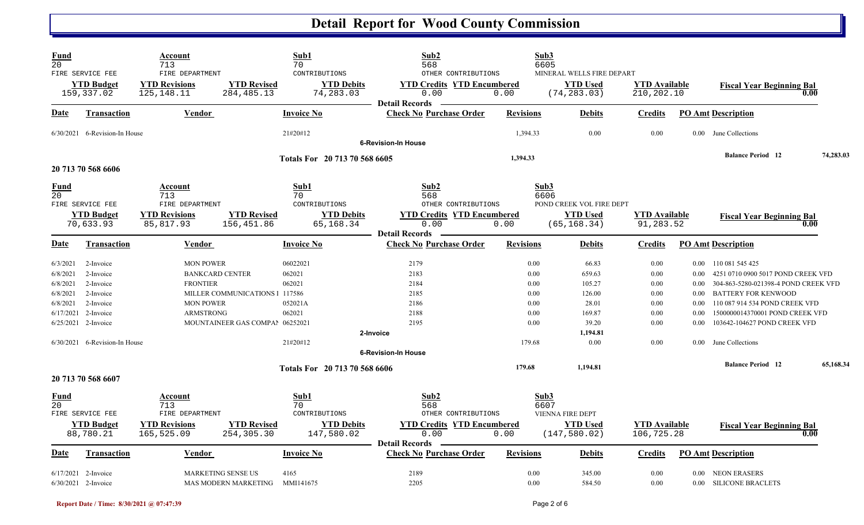## **Detail Report for Wood County Commission**

| Fund<br>$\overline{20}$          | FIRE SERVICE FEE                                                     | Account<br>713<br>FIRE DEPARTMENT                             |                                                                   | Sub1<br>70<br>CONTRIBUTIONS     | Sub2<br>568<br>OTHER CONTRIBUTIONS                                 |                              | Sub3<br>6605<br>MINERAL WELLS FIRE DEPART |                                    |                              |                                                                                                                                 |           |
|----------------------------------|----------------------------------------------------------------------|---------------------------------------------------------------|-------------------------------------------------------------------|---------------------------------|--------------------------------------------------------------------|------------------------------|-------------------------------------------|------------------------------------|------------------------------|---------------------------------------------------------------------------------------------------------------------------------|-----------|
|                                  | <b>YTD Budget</b><br>159,337.02                                      | <b>YTD Revisions</b><br>125,148.11                            | <b>YTD Revised</b><br>284, 485. 13                                | <b>YTD Debits</b><br>74,283.03  | <b>YTD Credits YTD Encumbered</b><br>0.00<br><b>Detail Records</b> | 0.00                         | <b>YTD Used</b><br>(74, 283.03)           | <b>YTD Available</b><br>210,202.10 |                              | <b>Fiscal Year Beginning Bal</b><br>0.00                                                                                        |           |
| Date                             | <b>Transaction</b>                                                   | <b>Vendor</b>                                                 |                                                                   | <b>Invoice No</b>               | <b>Check No Purchase Order</b>                                     | <b>Revisions</b>             | <b>Debits</b>                             | <b>Credits</b>                     |                              | <b>PO Amt Description</b>                                                                                                       |           |
|                                  | 6/30/2021 6-Revision-In House                                        |                                                               |                                                                   | 21#20#12                        | <b>6-Revision-In House</b>                                         | 1,394.33                     | 0.00                                      | 0.00                               |                              | 0.00 June Collections                                                                                                           |           |
|                                  | 20 713 70 568 6606                                                   |                                                               |                                                                   | Totals For 20 713 70 568 6605   |                                                                    | 1,394.33                     |                                           |                                    |                              | <b>Balance Period 12</b>                                                                                                        | 74,283.03 |
| <b>Fund</b><br>20                | FIRE SERVICE FEE                                                     | Account<br>713<br>FIRE DEPARTMENT                             |                                                                   | Sub1<br>70<br>CONTRIBUTIONS     | Sub2<br>568<br>OTHER CONTRIBUTIONS                                 |                              | Sub3<br>6606<br>POND CREEK VOL FIRE DEPT  |                                    |                              |                                                                                                                                 |           |
|                                  | <b>YTD Budget</b><br>70,633.93                                       | <b>YTD Revisions</b><br>85,817.93                             | <b>YTD Revised</b><br>156,451.86                                  | <b>YTD Debits</b><br>65,168.34  | <b>YTD Credits YTD Encumbered</b><br>0.00<br><b>Detail Records</b> | 0.00                         | <b>YTD</b> Used<br>(65, 168.34)           | <b>YTD</b> Available<br>91,283.52  |                              | <b>Fiscal Year Beginning Bal</b><br>0.00                                                                                        |           |
| Date                             | Transaction                                                          | Vendor                                                        |                                                                   | <b>Invoice No</b>               | <b>Check No Purchase Order</b>                                     | <b>Revisions</b>             | <b>Debits</b>                             | <b>Credits</b>                     |                              | <b>PO Amt Description</b>                                                                                                       |           |
| 6/3/2021<br>6/8/2021<br>6/8/2021 | 2-Invoice<br>2-Invoice<br>2-Invoice                                  | <b>MON POWER</b><br><b>BANKCARD CENTER</b><br><b>FRONTIER</b> |                                                                   | 06022021<br>062021<br>062021    | 2179<br>2183<br>2184                                               | 0.00<br>0.00<br>0.00         | 66.83<br>659.63<br>105.27                 | 0.00<br>0.00<br>0.00               | $0.00\,$<br>$0.00\,$         | 0.00 110 081 545 425<br>4251 0710 0900 5017 POND CREEK VFD<br>304-863-5280-021398-4 POND CREEK VFD                              |           |
| 6/8/2021<br>6/8/2021             | 2-Invoice<br>2-Invoice<br>6/17/2021 2-Invoice<br>6/25/2021 2-Invoice | <b>MON POWER</b><br><b>ARMSTRONG</b>                          | MILLER COMMUNICATIONS 1 117586<br>MOUNTAINEER GAS COMPAI 06252021 | 052021A<br>062021               | 2185<br>2186<br>2188<br>2195                                       | 0.00<br>0.00<br>0.00<br>0.00 | 126.00<br>28.01<br>169.87<br>39.20        | 0.00<br>0.00<br>0.00<br>0.00       | 0.00<br>0.00<br>0.00<br>0.00 | <b>BATTERY FOR KENWOOD</b><br>110 087 914 534 POND CREEK VFD<br>1500000014370001 POND CREEK VFD<br>103642-104627 POND CREEK VFD |           |
|                                  | 6/30/2021 6-Revision-In House                                        |                                                               |                                                                   | 21#20#12                        | 2-Invoice<br><b>6-Revision-In House</b>                            | 179.68                       | 1,194.81<br>0.00                          | 0.00                               | $0.00 -$                     | June Collections                                                                                                                |           |
|                                  | 20 713 70 568 6607                                                   |                                                               |                                                                   | Totals For 20 713 70 568 6606   |                                                                    | 179.68                       | 1,194.81                                  |                                    |                              | <b>Balance Period 12</b>                                                                                                        | 65,168.34 |
| <b>Fund</b><br>$\overline{20}$   | FIRE SERVICE FEE                                                     | Account<br>713<br>FIRE DEPARTMENT                             |                                                                   | Sub1<br>70<br>CONTRIBUTIONS     | Sub2<br>568<br>OTHER CONTRIBUTIONS                                 |                              | Sub3<br>6607<br>VIENNA FIRE DEPT          |                                    |                              |                                                                                                                                 |           |
|                                  | <b>YTD Budget</b><br>88,780.21                                       | <b>YTD Revisions</b><br>165,525.09                            | <b>YTD Revised</b><br>254,305.30                                  | <b>YTD Debits</b><br>147,580.02 | <b>YTD Credits YTD Encumbered</b><br>0.00<br><b>Detail Records</b> | 0.00                         | <b>YTD Used</b><br>(147, 580.02)          | <b>YTD</b> Available<br>106,725.28 |                              | <b>Fiscal Year Beginning Bal</b><br>0.00                                                                                        |           |
| Date                             | <b>Transaction</b>                                                   | Vendor                                                        |                                                                   | <b>Invoice No</b>               | <b>Check No Purchase Order</b>                                     | <b>Revisions</b>             | <b>Debits</b>                             | <b>Credits</b>                     |                              | <b>PO Amt Description</b>                                                                                                       |           |
|                                  | $6/17/2021$ 2-Invoice<br>$6/30/2021$ 2-Invoice                       |                                                               | MARKETING SENSE US<br>MAS MODERN MARKETING                        | 4165<br>MMI141675               | 2189<br>2205                                                       | 0.00<br>0.00                 | 345.00<br>584.50                          | 0.00<br>0.00                       |                              | 0.00 NEON ERASERS<br>0.00 SILICONE BRACLETS                                                                                     |           |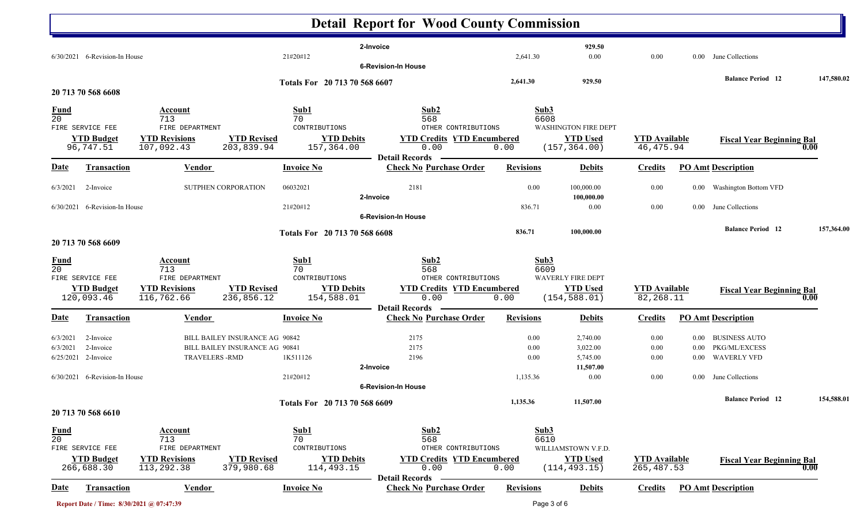|                                                                                      |                                                                         |                                                                                                    | <b>Detail Report for Wood County Commission</b>                                                          |                      |                                                                 |                                     |          |                                  |            |
|--------------------------------------------------------------------------------------|-------------------------------------------------------------------------|----------------------------------------------------------------------------------------------------|----------------------------------------------------------------------------------------------------------|----------------------|-----------------------------------------------------------------|-------------------------------------|----------|----------------------------------|------------|
| $6/30/2021$ 6-Revision-In House                                                      |                                                                         | 21#20#12                                                                                           | 2-Invoice<br><b>6-Revision-In House</b>                                                                  | 2,641.30             | 929.50<br>0.00                                                  | 0.00                                | $0.00\,$ | June Collections                 |            |
|                                                                                      |                                                                         | Totals For 20 713 70 568 6607                                                                      |                                                                                                          | 2,641.30             | 929.50                                                          |                                     |          | <b>Balance Period 12</b>         | 147,580.02 |
| 20 713 70 568 6608                                                                   |                                                                         |                                                                                                    |                                                                                                          |                      |                                                                 |                                     |          |                                  |            |
| <u>Fund</u><br>$\overline{20}$<br>FIRE SERVICE FEE<br><b>YTD Budget</b><br>96,747.51 | Account<br>713<br>FIRE DEPARTMENT<br><b>YTD Revisions</b><br>107,092.43 | Sub1<br>70<br>CONTRIBUTIONS<br><b>YTD Revised</b><br><b>YTD Debits</b><br>203,839.94<br>157,364.00 | Sub2<br>568<br>OTHER CONTRIBUTIONS<br><b>YTD Credits YTD Encumbered</b><br>0.00<br><b>Detail Records</b> | Sub3<br>6608<br>0.00 | <b>WASHINGTON FIRE DEPT</b><br><b>YTD Used</b><br>(157, 364.00) | <b>YTD Available</b><br>46, 475.94  |          | <b>Fiscal Year Beginning Bal</b> | 0.00       |
| <b>Date</b><br>Transaction                                                           | Vendor                                                                  | <b>Invoice No</b>                                                                                  | <b>Check No Purchase Order</b>                                                                           | <b>Revisions</b>     | <b>Debits</b>                                                   | <b>Credits</b>                      |          | <b>PO Amt Description</b>        |            |
| 6/3/2021<br>2-Invoice                                                                | SUTPHEN CORPORATION                                                     | 06032021                                                                                           | 2181<br>2-Invoice                                                                                        | 0.00                 | 100,000.00<br>100,000.00                                        | 0.00                                |          | 0.00 Washington Bottom VFD       |            |
| $6/30/2021$ 6-Revision-In House                                                      |                                                                         | 21#20#12                                                                                           |                                                                                                          | 836.71               | 0.00                                                            | 0.00                                |          | 0.00 June Collections            |            |
|                                                                                      |                                                                         | Totals For 20 713 70 568 6608                                                                      | <b>6-Revision-In House</b>                                                                               | 836.71               | 100,000.00                                                      |                                     |          | <b>Balance Period 12</b>         | 157,364.00 |
| 20 713 70 568 6609                                                                   |                                                                         |                                                                                                    |                                                                                                          |                      |                                                                 |                                     |          |                                  |            |
| <b>Fund</b><br>20<br>FIRE SERVICE FEE<br><b>YTD Budget</b>                           | Account<br>713<br>FIRE DEPARTMENT<br><b>YTD Revisions</b>               | Sub1<br>70<br>CONTRIBUTIONS<br><b>YTD Revised</b><br><b>YTD Debits</b>                             | Sub2<br>568<br>OTHER CONTRIBUTIONS<br><b>YTD Credits YTD Encumbered</b>                                  | Sub3<br>6609         | WAVERLY FIRE DEPT<br><b>YTD Used</b>                            | <b>YTD</b> Available                |          | <b>Fiscal Year Beginning Bal</b> |            |
| 120,093.46                                                                           | 116,762.66                                                              | 236,856.12<br>154,588.01                                                                           | 0.00<br><b>Detail Records</b>                                                                            | 0.00                 | (154, 588.01)                                                   | 82,268.11                           |          |                                  | 0.00       |
| <b>Transaction</b><br>Date                                                           | <b>Vendor</b>                                                           | <b>Invoice No</b>                                                                                  | <b>Check No Purchase Order</b>                                                                           | <b>Revisions</b>     | <b>Debits</b>                                                   | <b>Credits</b>                      |          | <b>PO Amt Description</b>        |            |
| 2-Invoice<br>6/3/2021                                                                |                                                                         | BILL BAILEY INSURANCE AG 90842                                                                     | 2175                                                                                                     | 0.00                 | 2,740.00                                                        | 0.00                                |          | 0.00 BUSINESS AUTO               |            |
| 2-Invoice<br>6/3/2021                                                                |                                                                         | BILL BAILEY INSURANCE AG 90841                                                                     | 2175                                                                                                     | 0.00                 | 3,022.00                                                        | 0.00                                | $0.00\,$ | <b>PKG/ML/EXCESS</b>             |            |
| 6/25/2021 2-Invoice                                                                  | <b>TRAVELERS-RMD</b>                                                    | 1K511126                                                                                           | 2196                                                                                                     | 0.00                 | 5,745.00                                                        | 0.00                                |          | 0.00 WAVERLY VFD                 |            |
| $6/30/2021$ 6-Revision-In House                                                      |                                                                         | 21#20#12                                                                                           | 2-Invoice<br><b>6-Revision-In House</b>                                                                  | 1,135.36             | 11,507.00<br>0.00                                               | 0.00                                |          | 0.00 June Collections            |            |
|                                                                                      |                                                                         | Totals For 20 713 70 568 6609                                                                      |                                                                                                          | 1,135.36             | 11,507.00                                                       |                                     |          | <b>Balance Period</b> 12         | 154,588.01 |
| 20 713 70 568 6610                                                                   |                                                                         |                                                                                                    |                                                                                                          |                      |                                                                 |                                     |          |                                  |            |
| <b>Fund</b><br>20<br>FIRE SERVICE FEE                                                | <b>Account</b><br>713<br>FIRE DEPARTMENT                                | Sub1<br>70<br>CONTRIBUTIONS                                                                        | Sub2<br>568<br>OTHER CONTRIBUTIONS                                                                       | Sub3<br>6610         | WILLIAMSTOWN V.F.D.                                             |                                     |          |                                  |            |
| <b>YTD Budget</b><br>266,688.30                                                      | <b>YTD Revisions</b><br>113,292.38                                      | <b>YTD Revised</b><br><b>YTD Debits</b><br>379,980.68<br>114,493.15                                | <b>YTD Credits YTD Encumbered</b><br>0.00                                                                | 0.00                 | <b>YTD Used</b><br>(114, 493.15)                                | <b>YTD Available</b><br>265, 487.53 |          | <b>Fiscal Year Beginning Bal</b> | 0.00       |
| <u>Date</u><br><b>Transaction</b>                                                    | <b>Vendor</b>                                                           | <b>Invoice No</b>                                                                                  | <b>Detail Records</b><br><b>Check No Purchase Order</b>                                                  | <b>Revisions</b>     | <b>Debits</b>                                                   | <b>Credits</b>                      |          | <b>PO Amt Description</b>        |            |
|                                                                                      | Report Date / Time: 8/30/2021 @ 07:47:39                                |                                                                                                    |                                                                                                          | Page 3 of 6          |                                                                 |                                     |          |                                  |            |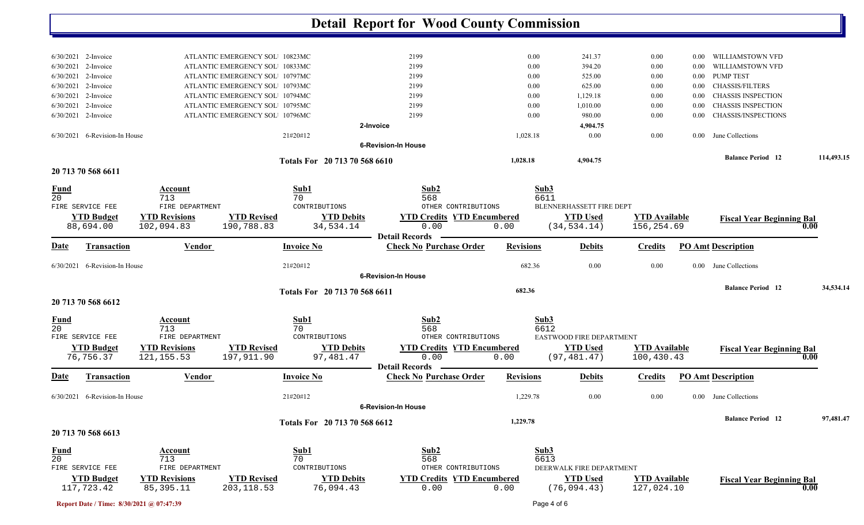|                        |                                 |                                         |                                                                  |                               | <b>Detail Report for Wood County Commission</b>         |                  |                                  |                      |                  |                                            |            |
|------------------------|---------------------------------|-----------------------------------------|------------------------------------------------------------------|-------------------------------|---------------------------------------------------------|------------------|----------------------------------|----------------------|------------------|--------------------------------------------|------------|
|                        |                                 |                                         |                                                                  |                               |                                                         |                  |                                  |                      |                  |                                            |            |
| 6/30/2021 2-Invoice    |                                 |                                         | ATLANTIC EMERGENCY SOL 10823MC                                   |                               | 2199                                                    |                  | 0.00<br>241.37                   | 0.00                 | $0.00\,$         | WILLIAMSTOWN VFD                           |            |
| 6/30/2021              | 2-Invoice                       |                                         | ATLANTIC EMERGENCY SOL 10833MC<br>ATLANTIC EMERGENCY SOL 10797MC |                               | 2199                                                    |                  | 0.00<br>394.20                   | 0.00                 | 0.00             | WILLIAMSTOWN VFD                           |            |
| 6/30/2021<br>6/30/2021 | 2-Invoice<br>2-Invoice          |                                         | ATLANTIC EMERGENCY SOL 10793MC                                   |                               | 2199<br>2199                                            |                  | 0.00<br>525.00<br>625.00<br>0.00 | 0.00<br>0.00         | $0.00\,$<br>0.00 | <b>PUMP TEST</b><br><b>CHASSIS/FILTERS</b> |            |
| 6/30/2021              | 2-Invoice                       |                                         | ATLANTIC EMERGENCY SOL 10794MC                                   |                               | 2199                                                    |                  | 0.00<br>1,129.18                 | 0.00                 | 0.00             | <b>CHASSIS INSPECTION</b>                  |            |
| 6/30/2021              | 2-Invoice                       |                                         | ATLANTIC EMERGENCY SOL 10795MC                                   |                               | 2199                                                    |                  | 0.00<br>1,010.00                 | 0.00                 | 0.00             | <b>CHASSIS INSPECTION</b>                  |            |
| 6/30/2021              | 2-Invoice                       |                                         | ATLANTIC EMERGENCY SOL 10796MC                                   |                               | 2199                                                    |                  | 0.00<br>980.00                   | 0.00                 | 0.00             | CHASSIS/INSPECTIONS                        |            |
|                        |                                 |                                         |                                                                  |                               | 2-Invoice                                               |                  | 4,904.75                         |                      |                  |                                            |            |
|                        | $6/30/2021$ 6-Revision-In House |                                         |                                                                  | 21#20#12                      |                                                         | 1,028.18         |                                  | 0.00<br>0.00         |                  | 0.00 June Collections                      |            |
|                        |                                 |                                         |                                                                  |                               | <b>6-Revision-In House</b>                              |                  |                                  |                      |                  |                                            |            |
|                        |                                 |                                         |                                                                  | Totals For 20 713 70 568 6610 |                                                         | 1,028.18         | 4,904.75                         |                      |                  | <b>Balance Period</b> 12                   | 114,493.15 |
|                        | 20 713 70 568 6611              |                                         |                                                                  |                               |                                                         |                  |                                  |                      |                  |                                            |            |
| <b>Fund</b>            |                                 | Account                                 |                                                                  | Sub1                          | Sub2                                                    |                  | Sub3                             |                      |                  |                                            |            |
| $\overline{20}$        |                                 | 713                                     |                                                                  | 70                            | 568                                                     |                  | 6611                             |                      |                  |                                            |            |
|                        | FIRE SERVICE FEE                | FIRE DEPARTMENT                         |                                                                  | CONTRIBUTIONS                 | OTHER CONTRIBUTIONS                                     |                  | BLENNERHASSETT FIRE DEPT         |                      |                  |                                            |            |
|                        | <b>YTD Budget</b>               | <b>YTD Revisions</b>                    | <b>YTD Revised</b>                                               | <b>YTD Debits</b>             | <b>YTD Credits YTD Encumbered</b>                       |                  | <b>YTD Used</b>                  | <b>YTD Available</b> |                  | <b>Fiscal Year Beginning Bal</b>           |            |
|                        | 88,694.00                       | 102,094.83                              | 190,788.83                                                       | 34,534.14                     | 0.00<br><b>Detail Records</b>                           | 0.00             | (34, 534.14)                     | 156,254.69           |                  |                                            | 0.00       |
| Date                   | <b>Transaction</b>              | Vendor                                  |                                                                  | <b>Invoice No</b>             | <b>Check No Purchase Order</b>                          | <b>Revisions</b> | <b>Debits</b>                    | <b>Credits</b>       |                  | <b>PO Amt Description</b>                  |            |
|                        | 6/30/2021 6-Revision-In House   |                                         |                                                                  | 21#20#12                      |                                                         | 682.36           |                                  | 0.00<br>0.00         |                  | 0.00 June Collections                      |            |
|                        |                                 |                                         |                                                                  |                               | <b>6-Revision-In House</b>                              |                  |                                  |                      |                  | <b>Balance Period 12</b>                   | 34,534.14  |
|                        | 20 713 70 568 6612              |                                         |                                                                  | Totals For 20 713 70 568 6611 |                                                         | 682.36           |                                  |                      |                  |                                            |            |
| <u>Fund</u>            |                                 | Account                                 |                                                                  | Sub1                          | Sub2                                                    |                  | Sub3                             |                      |                  |                                            |            |
| $\overline{20}$        | FIRE SERVICE FEE                | 713                                     |                                                                  | 70<br>CONTRIBUTIONS           | 568<br>OTHER CONTRIBUTIONS                              |                  | 6612<br>EASTWOOD FIRE DEPARTMENT |                      |                  |                                            |            |
|                        | <b>YTD Budget</b>               | FIRE DEPARTMENT<br><b>YTD Revisions</b> | <b>YTD Revised</b>                                               | <b>YTD Debits</b>             | <b>YTD Credits YTD Encumbered</b>                       |                  | <b>YTD Used</b>                  | <b>YTD</b> Available |                  |                                            |            |
|                        | 76,756.37                       | 121, 155.53                             | 197,911.90                                                       | 97,481.47                     | 0.00                                                    | 0.00             | (97, 481.47)                     | 100,430.43           |                  | <b>Fiscal Year Beginning Bal</b>           | 0.00       |
| Date                   | <b>Transaction</b>              | <b>Vendor</b>                           |                                                                  | <b>Invoice No</b>             | <b>Detail Records</b><br><b>Check No Purchase Order</b> | <b>Revisions</b> | <b>Debits</b>                    | <b>Credits</b>       |                  | <b>PO Amt Description</b>                  |            |
|                        |                                 |                                         |                                                                  |                               |                                                         |                  |                                  |                      |                  |                                            |            |
|                        | 6/30/2021 6-Revision-In House   |                                         |                                                                  | 21#20#12                      |                                                         | 1,229.78         |                                  | $0.00\,$<br>$0.00\,$ |                  | 0.00 June Collections                      |            |
|                        |                                 |                                         |                                                                  |                               | <b>6-Revision-In House</b>                              |                  |                                  |                      |                  |                                            |            |
|                        |                                 |                                         |                                                                  | Totals For 20 713 70 568 6612 |                                                         | 1,229.78         |                                  |                      |                  | <b>Balance Period</b> 12                   | 97,481.47  |
|                        | 20 713 70 568 6613              |                                         |                                                                  |                               |                                                         |                  |                                  |                      |                  |                                            |            |
| <u>Fund</u>            |                                 | <b>Account</b>                          |                                                                  | Sub1                          | Sub2                                                    |                  | Sub3                             |                      |                  |                                            |            |
| $\overline{20}$        |                                 | 713                                     |                                                                  | 70                            | 568                                                     |                  | 6613                             |                      |                  |                                            |            |
|                        | FIRE SERVICE FEE                | FIRE DEPARTMENT                         |                                                                  | CONTRIBUTIONS                 | OTHER CONTRIBUTIONS                                     |                  | DEERWALK FIRE DEPARTMENT         |                      |                  |                                            |            |
|                        | <b>YTD Budget</b>               | <b>YTD Revisions</b>                    | <b>YTD Revised</b>                                               | <b>YTD Debits</b>             | <b>YTD Credits YTD Encumbered</b>                       |                  | <b>YTD Used</b>                  | <b>YTD Available</b> |                  | <b>Fiscal Year Beginning Bal</b>           |            |
|                        | 117,723.42                      | 85,395.11                               | 203, 118.53                                                      | 76,094.43                     | 0.00                                                    | 0.00             | (76, 094.43)                     | 127,024.10           |                  |                                            | 0.00       |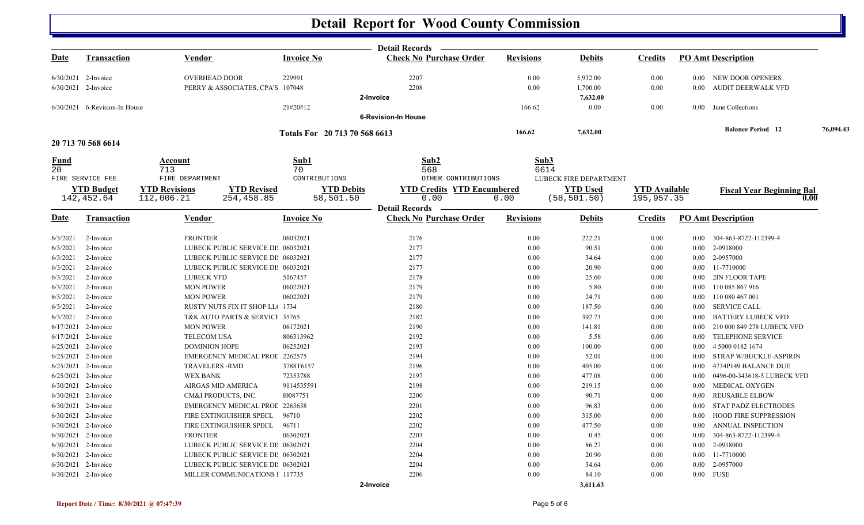## **Detail Report for Wood County Commission**

|             |                               |                                            |                               | <b>Detail Records</b>             |                  |                        |                      |          |                                  |           |
|-------------|-------------------------------|--------------------------------------------|-------------------------------|-----------------------------------|------------------|------------------------|----------------------|----------|----------------------------------|-----------|
| <b>Date</b> | <b>Transaction</b>            | Vendor                                     | <b>Invoice No</b>             | <b>Check No Purchase Order</b>    | <b>Revisions</b> | <b>Debits</b>          | <b>Credits</b>       |          | <b>PO Amt Description</b>        |           |
|             | $6/30/2021$ 2-Invoice         | <b>OVERHEAD DOOR</b>                       | 229991                        | 2207                              | 0.00             | 5,932.00               | 0.00                 |          | 0.00 NEW DOOR OPENERS            |           |
|             | 6/30/2021 2-Invoice           | PERRY & ASSOCIATES, CPA'S 107048           |                               | 2208                              | 0.00             | 1,700.00               | 0.00                 | 0.00     | AUDIT DEERWALK VFD               |           |
|             |                               |                                            |                               | 2-Invoice                         |                  | 7,632.00               |                      |          |                                  |           |
|             | 6/30/2021 6-Revision-In House |                                            | 21#20#12                      |                                   | 166.62           | 0.00                   | 0.00                 |          | 0.00 June Collections            |           |
|             |                               |                                            |                               | <b>6-Revision-In House</b>        |                  |                        |                      |          |                                  |           |
|             |                               |                                            | Totals For 20 713 70 568 6613 |                                   | 166.62           | 7,632.00               |                      |          | <b>Balance Period</b> 12         | 76,094.43 |
|             | 20 713 70 568 6614            |                                            |                               |                                   |                  |                        |                      |          |                                  |           |
| <u>Fund</u> |                               | Account                                    | Sub1                          | Sub2                              | Sub3             |                        |                      |          |                                  |           |
| 20          |                               | 713                                        | 70                            | 568                               | 6614             |                        |                      |          |                                  |           |
|             | FIRE SERVICE FEE              | FIRE DEPARTMENT                            | CONTRIBUTIONS                 | OTHER CONTRIBUTIONS               |                  | LUBECK FIRE DEPARTMENT |                      |          |                                  |           |
|             | <b>YTD Budget</b>             | <b>YTD Revisions</b><br><b>YTD Revised</b> | <b>YTD Debits</b>             | <b>YTD Credits YTD Encumbered</b> |                  | <b>YTD Used</b>        | <b>YTD</b> Available |          | <b>Fiscal Year Beginning Bal</b> |           |
|             | 142,452.64                    | 112,006.21<br>254,458.85                   | 58,501.50                     | 0.00                              | 0.00             | (58, 501.50)           | 195,957.35           |          | 0.00                             |           |
|             |                               |                                            |                               | <b>Detail Records</b>             |                  |                        |                      |          |                                  |           |
| <u>Date</u> | <b>Transaction</b>            | Vendor                                     | <b>Invoice No</b>             | <b>Check No Purchase Order</b>    | <b>Revisions</b> | <b>Debits</b>          | <b>Credits</b>       |          | <b>PO Amt Description</b>        |           |
| 6/3/2021    | 2-Invoice                     | <b>FRONTIER</b>                            | 06032021                      | 2176                              | 0.00             | 222.21                 | 0.00                 | 0.00     | 304-863-8722-112399-4            |           |
| 6/3/2021    | 2-Invoice                     | LUBECK PUBLIC SERVICE DI: 06032021         |                               | 2177                              | 0.00             | 90.51                  | 0.00                 | $0.00\,$ | 2-0918000                        |           |
| 6/3/2021    | 2-Invoice                     | LUBECK PUBLIC SERVICE DI: 06032021         |                               | 2177                              | 0.00             | 34.64                  | 0.00                 | $0.00\,$ | 2-0957000                        |           |
| 6/3/2021    | 2-Invoice                     | LUBECK PUBLIC SERVICE DI: 06032021         |                               | 2177                              | 0.00             | 20.90                  | 0.00                 | $0.00\,$ | 11-7710000                       |           |
| 6/3/2021    | 2-Invoice                     | <b>LUBECK VFD</b>                          | 5167457                       | 2178                              | 0.00             | 25.60                  | 0.00                 | $0.00\,$ | <b>2IN FLOOR TAPE</b>            |           |
| 6/3/2021    | 2-Invoice                     | <b>MON POWER</b>                           | 06022021                      | 2179                              | 0.00             | 5.80                   | 0.00                 | $0.00\,$ | 110 085 867 916                  |           |
| 6/3/2021    | 2-Invoice                     | <b>MON POWER</b>                           | 06022021                      | 2179                              | 0.00             | 24.71                  | 0.00                 | 0.00     | 110 080 467 001                  |           |
| 6/3/2021    | 2-Invoice                     | RUSTY NUTS FIX IT SHOP LL(1734             |                               | 2180                              | 0.00             | 187.50                 | 0.00                 | $0.00\,$ | <b>SERVICE CALL</b>              |           |
| 6/3/2021    | 2-Invoice                     | T&K AUTO PARTS & SERVICI 35765             |                               | 2182                              | 0.00             | 392.73                 | 0.00                 | 0.00     | <b>BATTERY LUBECK VFD</b>        |           |
| 6/17/2021   | 2-Invoice                     | <b>MON POWER</b>                           | 06172021                      | 2190                              | 0.00             | 141.81                 | 0.00                 | 0.00     | 210 000 849 278 LUBECK VFD       |           |
|             | 6/17/2021 2-Invoice           | TELECOM USA                                | 806313962                     | 2192                              | 0.00             | 5.58                   | 0.00                 | $0.00\,$ | TELEPHONE SERVICE                |           |
|             | 6/25/2021 2-Invoice           | <b>DOMINION HOPE</b>                       | 06252021                      | 2193                              | 0.00             | 100.00                 | 0.00                 | $0.00\,$ | 4 5000 0182 1674                 |           |
|             | 6/25/2021 2-Invoice           | <b>EMERGENCY MEDICAL PROL 2262575</b>      |                               | 2194                              | 0.00             | 52.01                  | 0.00                 | $0.00\,$ | STRAP W/BUCKLE-ASPIRIN           |           |
|             | 6/25/2021 2-Invoice           | <b>TRAVELERS -RMD</b>                      | 3788T6157                     | 2196                              | 0.00             | 405.00                 | 0.00                 | 0.00     | 4734P149 BALANCE DUE             |           |
|             | 6/25/2021 2-Invoice           | <b>WEX BANK</b>                            | 72353788                      | 2197                              | 0.00             | 477.08                 | 0.00                 | 0.00     | 0496-00-343618-5 LUBECK VFD      |           |
|             | 6/30/2021 2-Invoice           | AIRGAS MID AMERICA                         | 9114535591                    | 2198                              | 0.00             | 219.15                 | 0.00                 | $0.00\,$ | MEDICAL OXYGEN                   |           |
|             | 6/30/2021 2-Invoice           | CM&I PRODUCTS, INC.                        | 10087751                      | 2200                              | 0.00             | 90.71                  | 0.00                 | 0.00     | <b>REUSABLE ELBOW</b>            |           |
|             | 6/30/2021 2-Invoice           | <b>EMERGENCY MEDICAL PROL 2263638</b>      |                               | 2201                              | 0.00             | 96.83                  | 0.00                 | 0.00     | STAT PADZ ELECTRODES             |           |
|             | 6/30/2021 2-Invoice           | FIRE EXTINGUISHER SPECL                    | 96710                         | 2202                              | 0.00             | 315.00                 | 0.00                 | 0.00     | <b>HOOD FIRE SUPPRESSION</b>     |           |
|             | 6/30/2021 2-Invoice           | FIRE EXTINGUISHER SPECL                    | 96711                         | 2202                              | 0.00             | 477.50                 | 0.00                 | 0.00     | ANNUAL INSPECTION                |           |
|             | 6/30/2021 2-Invoice           | <b>FRONTIER</b>                            | 06302021                      | 2203                              | 0.00             | 0.45                   | 0.00                 | 0.00     | 304-863-8722-112399-4            |           |
|             | 6/30/2021 2-Invoice           | LUBECK PUBLIC SERVICE DI: 06302021         |                               | 2204                              | 0.00             | 86.27                  | 0.00                 | $0.00\,$ | 2-0918000                        |           |
|             | 6/30/2021 2-Invoice           | LUBECK PUBLIC SERVICE DI: 06302021         |                               | 2204                              | 0.00             | 20.90                  | 0.00                 | $0.00\,$ | 11-7710000                       |           |
|             | 6/30/2021 2-Invoice           | LUBECK PUBLIC SERVICE DI: 06302021         |                               | 2204                              | 0.00             | 34.64                  | 0.00                 | 0.00     | 2-0957000                        |           |
|             | 6/30/2021 2-Invoice           | MILLER COMMUNICATIONS 1 117735             |                               | 2206                              | 0.00             | 84.10                  | 0.00                 | $0.00\,$ | <b>FUSE</b>                      |           |
|             |                               |                                            |                               | 2-Invoice                         |                  | 3.611.63               |                      |          |                                  |           |